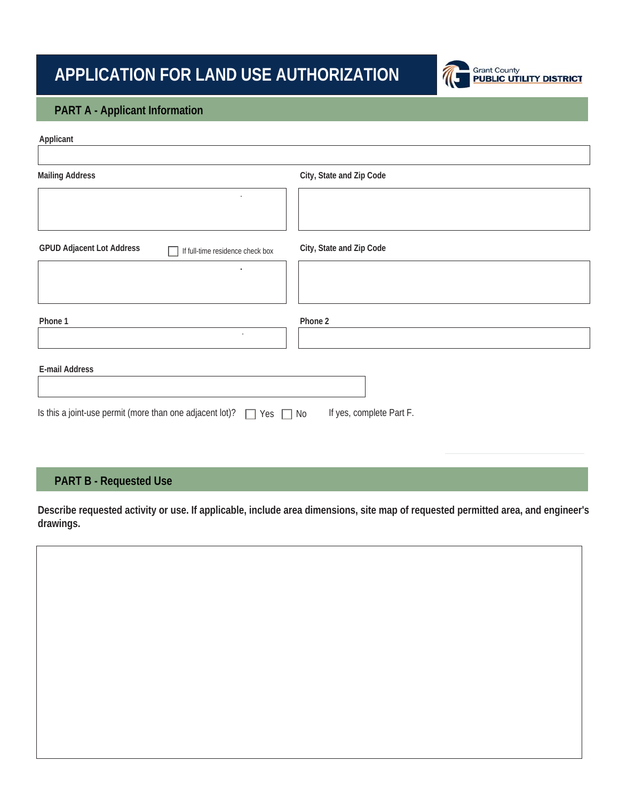# **APPLICATION FOR LAND USE AUTHORIZATION**



#### **PART A - Applicant Information**

| Applicant                                                                                                    |                          |  |  |  |
|--------------------------------------------------------------------------------------------------------------|--------------------------|--|--|--|
|                                                                                                              |                          |  |  |  |
| <b>Mailing Address</b>                                                                                       | City, State and Zip Code |  |  |  |
| $\bullet$                                                                                                    |                          |  |  |  |
|                                                                                                              |                          |  |  |  |
| <b>GPUD Adjacent Lot Address</b><br>If full-time residence check box                                         | City, State and Zip Code |  |  |  |
| $\bullet$                                                                                                    |                          |  |  |  |
|                                                                                                              |                          |  |  |  |
| Phone 1                                                                                                      | Phone 2                  |  |  |  |
| $\bullet$                                                                                                    |                          |  |  |  |
| E-mail Address                                                                                               |                          |  |  |  |
|                                                                                                              |                          |  |  |  |
| Is this a joint-use permit (more than one adjacent lot)? $\Box$<br>If yes, complete Part F.<br>Yes $\Box$ No |                          |  |  |  |

### **PART B - Requested Use**

**Describe requested activity or use. If applicable, include area dimensions, site map of requested permitted area, and engineer's drawings.** 

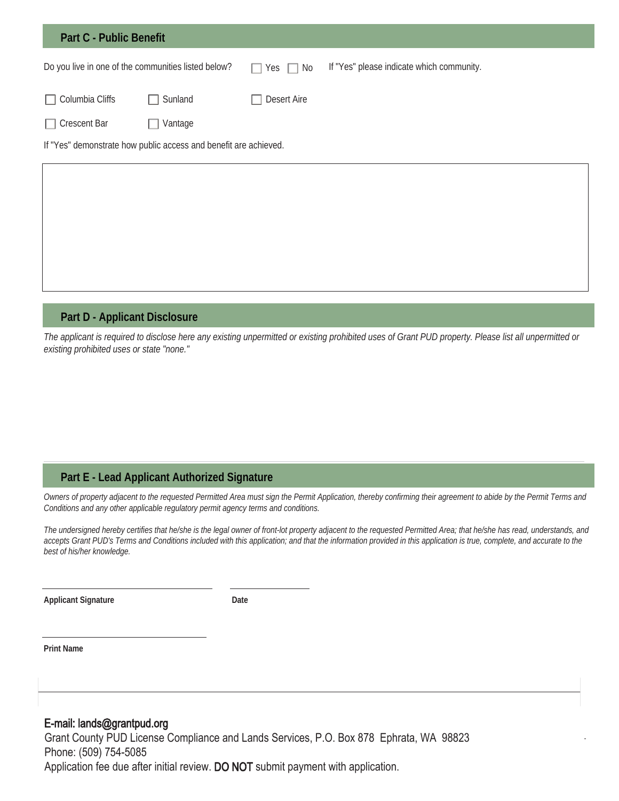| <b>Part C - Public Benefit</b> |                                                                  |                         |                                           |
|--------------------------------|------------------------------------------------------------------|-------------------------|-------------------------------------------|
|                                | Do you live in one of the communities listed below?              | Yes $\Box$<br>No<br>n l | If "Yes" please indicate which community. |
| Columbia Cliffs                | Sunland                                                          | Desert Aire             |                                           |
| <b>Crescent Bar</b>            | Vantage                                                          |                         |                                           |
|                                | If "Yes" demonstrate how public access and benefit are achieved. |                         |                                           |
|                                |                                                                  |                         |                                           |
|                                |                                                                  |                         |                                           |
|                                |                                                                  |                         |                                           |
|                                |                                                                  |                         |                                           |

#### **Part D - Applicant Disclosure**

*The applicant is required to disclose here any existing unpermitted or existing prohibited uses of Grant PUD property. Please list all unpermitted or existing prohibited uses or state "none."*

#### **Part E - Lead Applicant Authorized Signature**

*Owners of property adjacent to the requested Permitted Area must sign the Permit Application, thereby confirming their agreement to abide by the Permit Terms and Conditions and any other applicable regulatory permit agency terms and conditions.* 

*The undersigned hereby certifies that he/she is the legal owner of front-lot property adjacent to the requested Permitted Area; that he/she has read, understands, and*  accepts Grant PUD's Terms and Conditions included with this application; and that the information provided in this application is true, complete, and accurate to the *best of his/her knowledge.* 

**Applicant Signature**

**Date**

**Print Name**

#### E-mail: lands@grantpud.org

Grant County PUD License Compliance and Lands Services, P.O. Box 878 Ephrata, WA 98823 Phone: (509) 754-5085 Application fee due after initial review. DO NOT submit payment with application.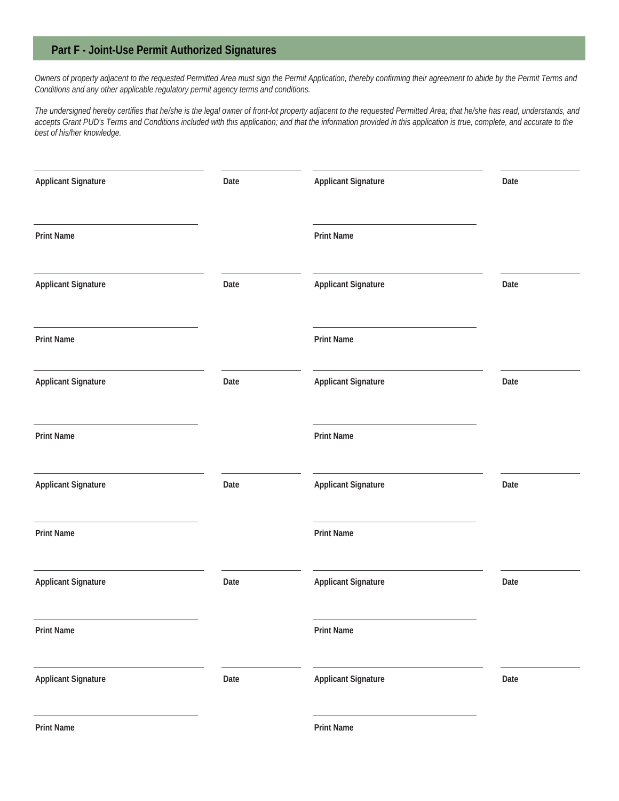#### **Part F - Joint-Use Permit Authorized Signatures**

*Owners of property adjacent to the requested Permitted Area must sign the Permit Application, thereby confirming their agreement to abide by the Permit Terms and Conditions and any other applicable regulatory permit agency terms and conditions.* 

*The undersigned hereby certifies that he/she is the legal owner of front-lot property adjacent to the requested Permitted Area; that he/she has read, understands, and accepts Grant PUD's Terms and Conditions included with this application; and that the information provided in this application is true, complete, and accurate to the best of his/her knowledge.*

| <b>Applicant Signature</b>                                                                      | Date | <b>Applicant Signature</b> | Date |
|-------------------------------------------------------------------------------------------------|------|----------------------------|------|
| <u> 1989 - Johann Stein, fransk politik (d. 1989)</u><br><b>Print Name</b>                      |      | <b>Print Name</b>          |      |
| <b>Applicant Signature</b>                                                                      | Date | <b>Applicant Signature</b> | Date |
| the control of the control of the control of the control of the control of<br><b>Print Name</b> |      | <b>Print Name</b>          |      |
| <b>Applicant Signature</b>                                                                      | Date | <b>Applicant Signature</b> | Date |
| <b>Print Name</b>                                                                               |      | <b>Print Name</b>          |      |
| <b>Applicant Signature</b>                                                                      | Date | <b>Applicant Signature</b> | Date |
| <b>Print Name</b>                                                                               |      | <b>Print Name</b>          |      |
| <b>Applicant Signature</b>                                                                      | Date | <b>Applicant Signature</b> | Date |
| <b>Print Name</b>                                                                               |      | <b>Print Name</b>          |      |
| <b>Applicant Signature</b>                                                                      | Date | <b>Applicant Signature</b> | Date |
| <b>Print Name</b>                                                                               |      | <b>Print Name</b>          |      |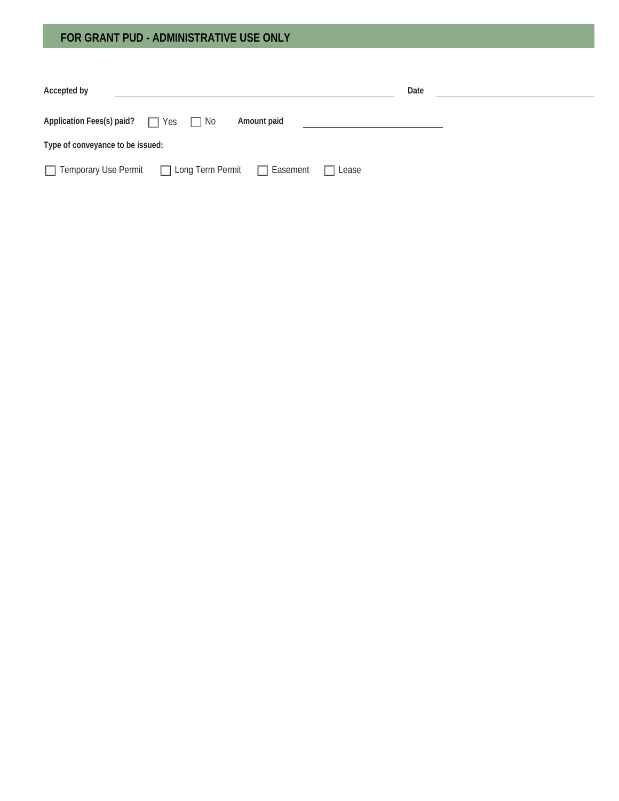## **FOR GRANT PUD - ADMINISTRATIVE USE ONLY**

| Accepted by                                        |              | Date |  |  |  |  |
|----------------------------------------------------|--------------|------|--|--|--|--|
| Application Fees(s) paid? $\Box$ Yes $\Box$ No     | Amount paid  |      |  |  |  |  |
| Type of conveyance to be issued:                   |              |      |  |  |  |  |
| Temporary Use Permit □ Long Term Permit □ Easement | $\Box$ Lease |      |  |  |  |  |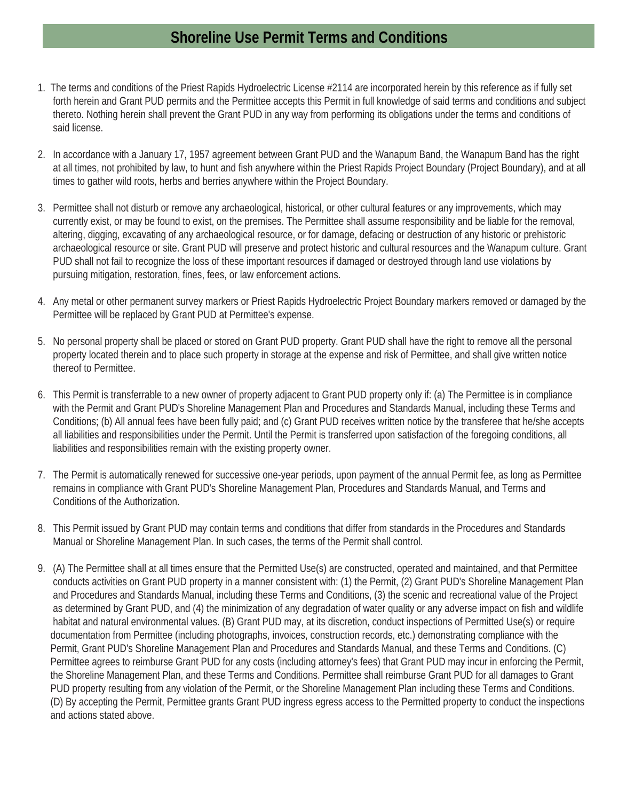# **Shoreline Use Permit Terms and Conditions**

- 1. The terms and conditions of the Priest Rapids Hydroelectric License #2114 are incorporated herein by this reference as if fully set forth herein and Grant PUD permits and the Permittee accepts this Permit in full knowledge of said terms and conditions and subject thereto. Nothing herein shall prevent the Grant PUD in any way from performing its obligations under the terms and conditions of said license.
- 2. In accordance with a January 17, 1957 agreement between Grant PUD and the Wanapum Band, the Wanapum Band has the right at all times, not prohibited by law, to hunt and fish anywhere within the Priest Rapids Project Boundary (Project Boundary), and at all times to gather wild roots, herbs and berries anywhere within the Project Boundary.
- 3. Permittee shall not disturb or remove any archaeological, historical, or other cultural features or any improvements, which may currently exist, or may be found to exist, on the premises. The Permittee shall assume responsibility and be liable for the removal, altering, digging, excavating of any archaeological resource, or for damage, defacing or destruction of any historic or prehistoric archaeological resource or site. Grant PUD will preserve and protect historic and cultural resources and the Wanapum culture. Grant PUD shall not fail to recognize the loss of these important resources if damaged or destroyed through land use violations by pursuing mitigation, restoration, fines, fees, or law enforcement actions.
- 4. Any metal or other permanent survey markers or Priest Rapids Hydroelectric Project Boundary markers removed or damaged by the Permittee will be replaced by Grant PUD at Permittee's expense.
- 5. No personal property shall be placed or stored on Grant PUD property. Grant PUD shall have the right to remove all the personal property located therein and to place such property in storage at the expense and risk of Permittee, and shall give written notice thereof to Permittee.
- 6. This Permit is transferrable to a new owner of property adjacent to Grant PUD property only if: (a) The Permittee is in compliance with the Permit and Grant PUD's Shoreline Management Plan and Procedures and Standards Manual, including these Terms and Conditions; (b) All annual fees have been fully paid; and (c) Grant PUD receives written notice by the transferee that he/she accepts all liabilities and responsibilities under the Permit. Until the Permit is transferred upon satisfaction of the foregoing conditions, all liabilities and responsibilities remain with the existing property owner.
- 7. The Permit is automatically renewed for successive one-year periods, upon payment of the annual Permit fee, as long as Permittee remains in compliance with Grant PUD's Shoreline Management Plan, Procedures and Standards Manual, and Terms and Conditions of the Authorization.
- 8. This Permit issued by Grant PUD may contain terms and conditions that differ from standards in the Procedures and Standards Manual or Shoreline Management Plan. In such cases, the terms of the Permit shall control.
- 9. (A) The Permittee shall at all times ensure that the Permitted Use(s) are constructed, operated and maintained, and that Permittee conducts activities on Grant PUD property in a manner consistent with: (1) the Permit, (2) Grant PUD's Shoreline Management Plan and Procedures and Standards Manual, including these Terms and Conditions, (3) the scenic and recreational value of the Project as determined by Grant PUD, and (4) the minimization of any degradation of water quality or any adverse impact on fish and wildlife habitat and natural environmental values. (B) Grant PUD may, at its discretion, conduct inspections of Permitted Use(s) or require documentation from Permittee (including photographs, invoices, construction records, etc.) demonstrating compliance with the Permit, Grant PUD's Shoreline Management Plan and Procedures and Standards Manual, and these Terms and Conditions. (C) Permittee agrees to reimburse Grant PUD for any costs (including attorney's fees) that Grant PUD may incur in enforcing the Permit, the Shoreline Management Plan, and these Terms and Conditions. Permittee shall reimburse Grant PUD for all damages to Grant PUD property resulting from any violation of the Permit, or the Shoreline Management Plan including these Terms and Conditions. (D) By accepting the Permit, Permittee grants Grant PUD ingress egress access to the Permitted property to conduct the inspections and actions stated above.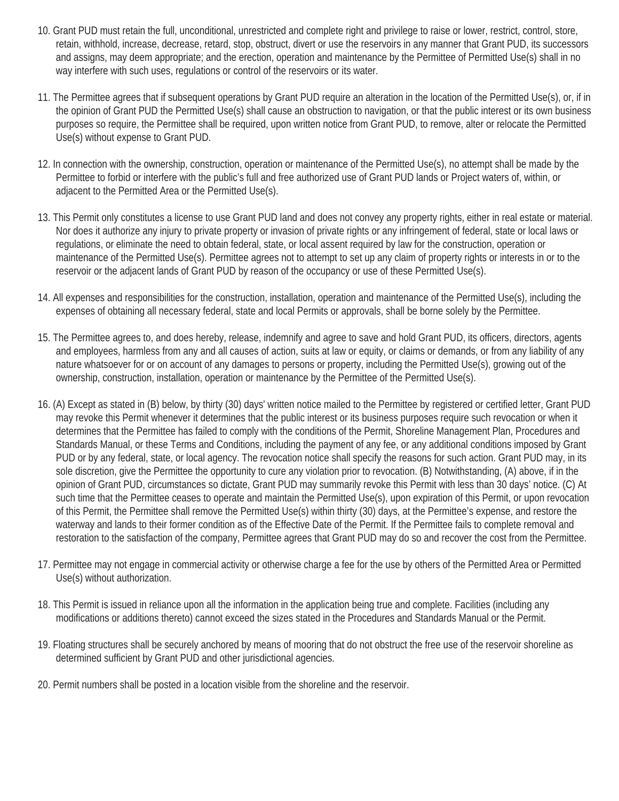- 10. Grant PUD must retain the full, unconditional, unrestricted and complete right and privilege to raise or lower, restrict, control, store, retain, withhold, increase, decrease, retard, stop, obstruct, divert or use the reservoirs in any manner that Grant PUD, its successors and assigns, may deem appropriate; and the erection, operation and maintenance by the Permittee of Permitted Use(s) shall in no way interfere with such uses, regulations or control of the reservoirs or its water.
- 11. The Permittee agrees that if subsequent operations by Grant PUD require an alteration in the location of the Permitted Use(s), or, if in the opinion of Grant PUD the Permitted Use(s) shall cause an obstruction to navigation, or that the public interest or its own business purposes so require, the Permittee shall be required, upon written notice from Grant PUD, to remove, alter or relocate the Permitted Use(s) without expense to Grant PUD.
- 12. In connection with the ownership, construction, operation or maintenance of the Permitted Use(s), no attempt shall be made by the Permittee to forbid or interfere with the public's full and free authorized use of Grant PUD lands or Project waters of, within, or adjacent to the Permitted Area or the Permitted Use(s).
- 13. This Permit only constitutes a license to use Grant PUD land and does not convey any property rights, either in real estate or material. Nor does it authorize any injury to private property or invasion of private rights or any infringement of federal, state or local laws or regulations, or eliminate the need to obtain federal, state, or local assent required by law for the construction, operation or maintenance of the Permitted Use(s). Permittee agrees not to attempt to set up any claim of property rights or interests in or to the reservoir or the adjacent lands of Grant PUD by reason of the occupancy or use of these Permitted Use(s).
- 14. All expenses and responsibilities for the construction, installation, operation and maintenance of the Permitted Use(s), including the expenses of obtaining all necessary federal, state and local Permits or approvals, shall be borne solely by the Permittee.
- 15. The Permittee agrees to, and does hereby, release, indemnify and agree to save and hold Grant PUD, its officers, directors, agents and employees, harmless from any and all causes of action, suits at law or equity, or claims or demands, or from any liability of any nature whatsoever for or on account of any damages to persons or property, including the Permitted Use(s), growing out of the ownership, construction, installation, operation or maintenance by the Permittee of the Permitted Use(s).
- 16. (A) Except as stated in (B) below, by thirty (30) days' written notice mailed to the Permittee by registered or certified letter, Grant PUD may revoke this Permit whenever it determines that the public interest or its business purposes require such revocation or when it determines that the Permittee has failed to comply with the conditions of the Permit, Shoreline Management Plan, Procedures and Standards Manual, or these Terms and Conditions, including the payment of any fee, or any additional conditions imposed by Grant PUD or by any federal, state, or local agency. The revocation notice shall specify the reasons for such action. Grant PUD may, in its sole discretion, give the Permittee the opportunity to cure any violation prior to revocation. (B) Notwithstanding, (A) above, if in the opinion of Grant PUD, circumstances so dictate, Grant PUD may summarily revoke this Permit with less than 30 days' notice. (C) At such time that the Permittee ceases to operate and maintain the Permitted Use(s), upon expiration of this Permit, or upon revocation of this Permit, the Permittee shall remove the Permitted Use(s) within thirty (30) days, at the Permittee's expense, and restore the waterway and lands to their former condition as of the Effective Date of the Permit. If the Permittee fails to complete removal and restoration to the satisfaction of the company, Permittee agrees that Grant PUD may do so and recover the cost from the Permittee.
- 17. Permittee may not engage in commercial activity or otherwise charge a fee for the use by others of the Permitted Area or Permitted Use(s) without authorization.
- 18. This Permit is issued in reliance upon all the information in the application being true and complete. Facilities (including any modifications or additions thereto) cannot exceed the sizes stated in the Procedures and Standards Manual or the Permit.
- 19. Floating structures shall be securely anchored by means of mooring that do not obstruct the free use of the reservoir shoreline as determined sufficient by Grant PUD and other jurisdictional agencies.
- 20. Permit numbers shall be posted in a location visible from the shoreline and the reservoir.